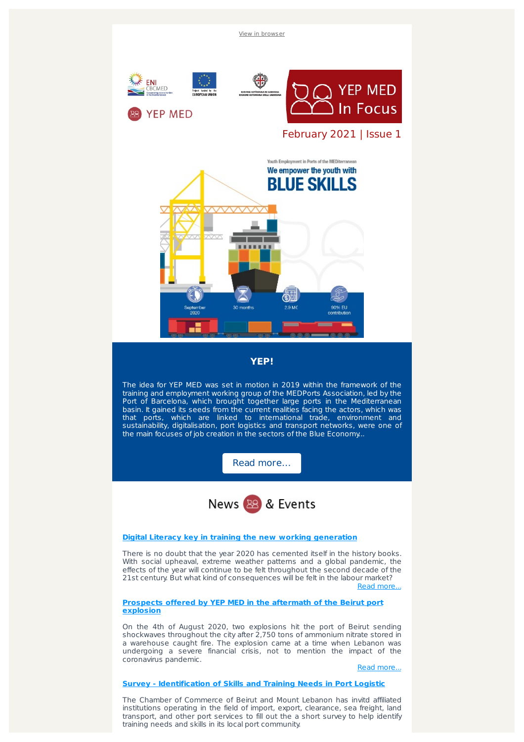

The Chamber of Commerce of Beirut and Mount Lebanon has invitd affiliated institutions operating in the field of import, export, clearance, sea freight, land transport, and other port services to fill out the a short survey to help identify training needs and skills in its local port community.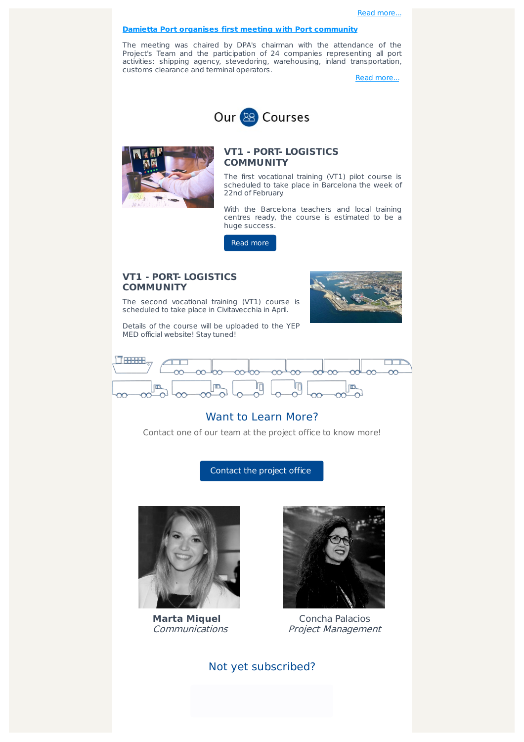## **Damietta Port organises first meeting with Port [community](https://www.facebook.com/YEPMED/photos/a.117176806818221/200421785160389?utm_source=sendinblue&utm_campaign=YEP_MED__202102&utm_medium=email)**

The meeting was chaired by DPA's chairman with the attendance of the Project's Team and the participation of 24 companies representing all port activities: shipping agency, stevedoring, warehousing, inland transportation, customs clearance and terminal operators.

Read [more...](https://www.facebook.com/YEPMED/photos/a.117176806818221/200421785160389?utm_source=sendinblue&utm_campaign=YEP_MED__202102&utm_medium=email)





## **VT1 - PORT- LOGISTICS COMMUNITY**

The first vocational training (VT1) pilot course is scheduled to take place in Barcelona the week of 22nd of February.

With the Barcelona teachers and local training centres ready, the course is estimated to be a huge success.

Read [more](http://www.enicbcmed.eu/port-logistics-community-training?utm_source=sendinblue&utm_campaign=YEP_MED__202102&utm_medium=email)

## **VT1 - PORT- LOGISTICS COMMUNITY**

The second vocational training (VT1) course is scheduled to take place in Civitavecchia in April.

Details of the course will be uploaded to the YEP MED official website! Stay tuned!





## Want to Learn More?

Contact one of our team at the project office to know more!

[Contact](mailto:yepmed@escolaeuropea.eu) the project office



**Marta Miquel Communications** 



Concha Palacios Project Management

Not yet subscribed?